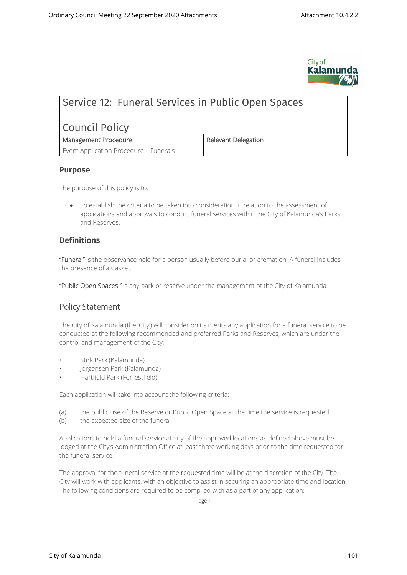

# Service 12: Funeral Services in Public Open Spaces

# Council Policy

| Management Procedure                   |
|----------------------------------------|
| Event Application Procedure - Funerals |

**Management Procedure Relevant Delegation**

#### **Purpose**

The purpose of this policy is to:

 To establish the criteria to be taken into consideration in relation to the assessment of applications and approvals to conduct funeral services within the City of Kalamunda's Parks and Reserves.

### **Definitions**

**"Funeral"** is the observance held for a person usually before burial or cremation. A funeral includes the presence of a Casket.

**"Public Open Spaces "** is any park or reserve under the management of the City of Kalamunda.

## **Policy Statement**

The City of Kalamunda (the 'City') will consider on its merits any application for a funeral service to be conducted at the following recommended and preferred Parks and Reserves, which are under the control and management of the City:

- Stirk Park (Kalamunda)
- Jorgensen Park (Kalamunda)
- Hartfield Park (Forrestfield)

Each application will take into account the following criteria:

- (a) the public use of the Reserve or Public Open Space at the time the service is requested;
- (b) the expected size of the funeral

Applications to hold a funeral service at any of the approved locations as defined above must be lodged at the City's Administration Office at least three working days prior to the time requested for the funeral service.

The approval for the funeral service at the requested time will be at the discretion of the City. The City will work with applicants, with an objective to assist in securing an appropriate time and location. The following conditions are required to be complied with as a part of any application:

Page 1